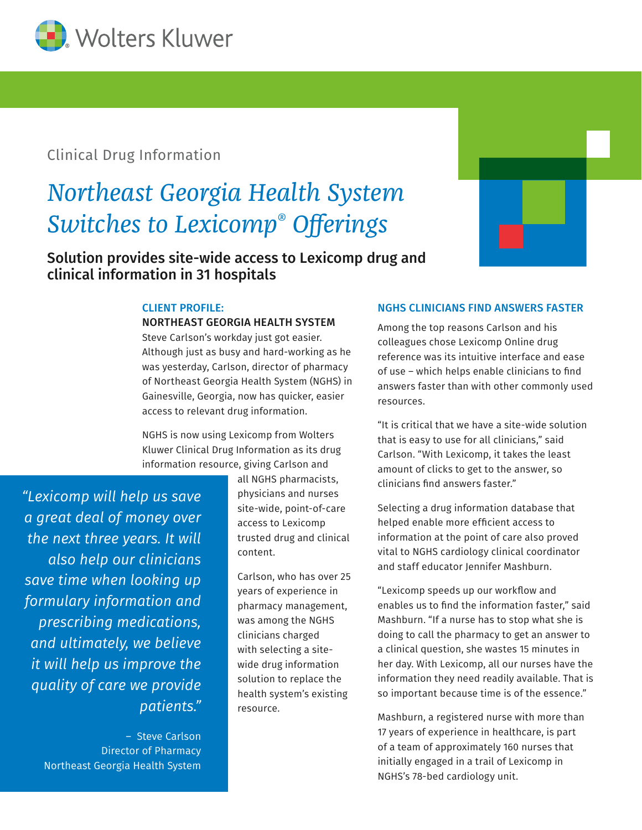

## Clinical Drug Information

# *Northeast Georgia Health System Switches to Lexicomp® Offerings*

Solution provides site-wide access to Lexicomp drug and clinical information in 31 hospitals



#### CLIENT PROFILE:

#### NORTHEAST GEORGIA HEALTH SYSTEM

Steve Carlson's workday just got easier. Although just as busy and hard-working as he was yesterday, Carlson, director of pharmacy of Northeast Georgia Health System (NGHS) in Gainesville, Georgia, now has quicker, easier access to relevant drug information.

NGHS is now using Lexicomp from Wolters Kluwer Clinical Drug Information as its drug information resource, giving Carlson and

*"Lexicomp will help us save a great deal of money over the next three years. It will also help our clinicians save time when looking up formulary information and prescribing medications, and ultimately, we believe it will help us improve the quality of care we provide patients."*

> – Steve Carlson Director of Pharmacy Northeast Georgia Health System

all NGHS pharmacists, physicians and nurses site-wide, point-of-care access to Lexicomp trusted drug and clinical content.

Carlson, who has over 25 years of experience in pharmacy management, was among the NGHS clinicians charged with selecting a sitewide drug information solution to replace the health system's existing resource.

#### NGHS CLINICIANS FIND ANSWERS FASTER

Among the top reasons Carlson and his colleagues chose Lexicomp Online drug reference was its intuitive interface and ease of use – which helps enable clinicians to find answers faster than with other commonly used resources.

"It is critical that we have a site-wide solution that is easy to use for all clinicians," said Carlson. "With Lexicomp, it takes the least amount of clicks to get to the answer, so clinicians find answers faster."

Selecting a drug information database that helped enable more efficient access to information at the point of care also proved vital to NGHS cardiology clinical coordinator and staff educator Jennifer Mashburn.

"Lexicomp speeds up our workflow and enables us to find the information faster," said Mashburn. "If a nurse has to stop what she is doing to call the pharmacy to get an answer to a clinical question, she wastes 15 minutes in her day. With Lexicomp, all our nurses have the information they need readily available. That is so important because time is of the essence."

Mashburn, a registered nurse with more than 17 years of experience in healthcare, is part of a team of approximately 160 nurses that initially engaged in a trail of Lexicomp in NGHS's 78-bed cardiology unit.